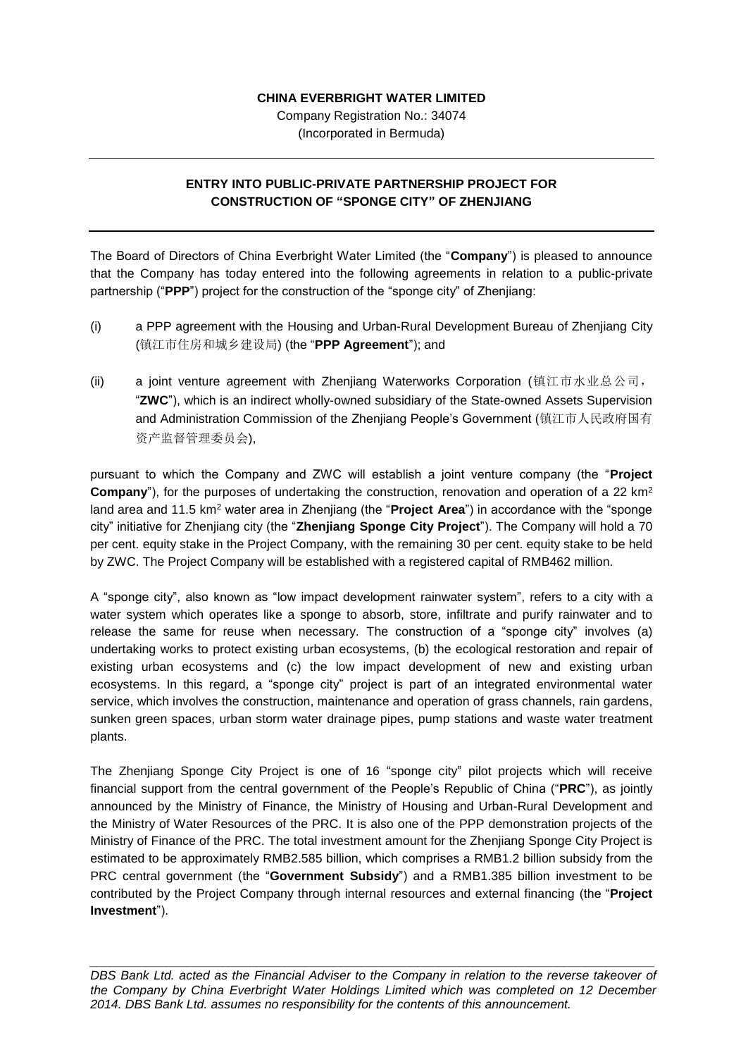## **CHINA EVERBRIGHT WATER LIMITED**

Company Registration No.: 34074 (Incorporated in Bermuda)

## **ENTRY INTO PUBLIC-PRIVATE PARTNERSHIP PROJECT FOR CONSTRUCTION OF "SPONGE CITY" OF ZHENJIANG**

The Board of Directors of China Everbright Water Limited (the "**Company**") is pleased to announce that the Company has today entered into the following agreements in relation to a public-private partnership ("**PPP**") project for the construction of the "sponge city" of Zhenjiang:

- (i) a PPP agreement with the Housing and Urban-Rural Development Bureau of Zhenjiang City (镇江市住房和城乡建设局) (the "**PPP Agreement**"); and
- (ii) a joint venture agreement with Zhenjiang Waterworks Corporation (镇江市水业总公司, "**ZWC**"), which is an indirect wholly-owned subsidiary of the State-owned Assets Supervision and Administration Commission of the Zhenjiang People's Government (镇江市人民政府国有 资产监督管理委员会),

pursuant to which the Company and ZWC will establish a joint venture company (the "**Project Company**"), for the purposes of undertaking the construction, renovation and operation of a 22 km<sup>2</sup> land area and 11.5 km<sup>2</sup> water area in Zhenjiang (the "**Project Area**") in accordance with the "sponge city" initiative for Zhenjiang city (the "**Zhenjiang Sponge City Project**"). The Company will hold a 70 per cent. equity stake in the Project Company, with the remaining 30 per cent. equity stake to be held by ZWC. The Project Company will be established with a registered capital of RMB462 million.

A "sponge city", also known as "low impact development rainwater system", refers to a city with a water system which operates like a sponge to absorb, store, infiltrate and purify rainwater and to release the same for reuse when necessary. The construction of a "sponge city" involves (a) undertaking works to protect existing urban ecosystems, (b) the ecological restoration and repair of existing urban ecosystems and (c) the low impact development of new and existing urban ecosystems. In this regard, a "sponge city" project is part of an integrated environmental water service, which involves the construction, maintenance and operation of grass channels, rain gardens, sunken green spaces, urban storm water drainage pipes, pump stations and waste water treatment plants.

The Zhenjiang Sponge City Project is one of 16 "sponge city" pilot projects which will receive financial support from the central government of the People's Republic of China ("**PRC**"), as jointly announced by the Ministry of Finance, the Ministry of Housing and Urban-Rural Development and the Ministry of Water Resources of the PRC. It is also one of the PPP demonstration projects of the Ministry of Finance of the PRC. The total investment amount for the Zhenjiang Sponge City Project is estimated to be approximately RMB2.585 billion, which comprises a RMB1.2 billion subsidy from the PRC central government (the "**Government Subsidy**") and a RMB1.385 billion investment to be contributed by the Project Company through internal resources and external financing (the "**Project Investment**").

*\_\_\_\_\_\_\_\_\_\_\_\_\_\_\_\_\_\_\_\_\_\_\_\_\_\_\_\_\_\_\_\_\_\_\_\_\_\_\_\_\_\_\_\_\_\_\_\_\_\_\_\_\_\_\_\_\_\_\_\_\_\_\_\_\_\_\_\_\_\_\_\_\_\_\_\_\_\_\_\_\_ DBS Bank Ltd. acted as the Financial Adviser to the Company in relation to the reverse takeover of the Company by China Everbright Water Holdings Limited which was completed on 12 December 2014. DBS Bank Ltd. assumes no responsibility for the contents of this announcement.*